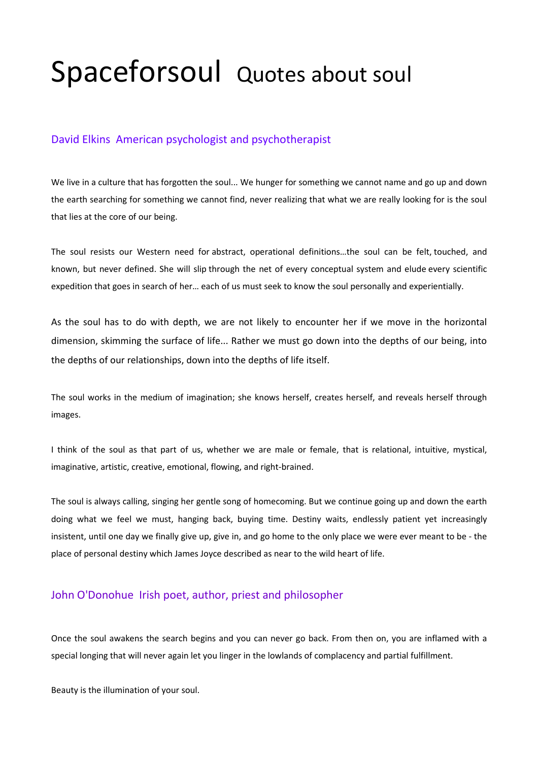# Spaceforsoul Quotes about soul

## David Elkins American psychologist and psychotherapist

We live in a culture that has forgotten the soul... We hunger for something we cannot name and go up and down the earth searching for something we cannot find, never realizing that what we are really looking for is the soul that lies at the core of our being.

The soul resists our Western need for abstract, operational definitions…the soul can be felt, touched, and known, but never defined. She will slip through the net of every conceptual system and elude every scientific expedition that goes in search of her… each of us must seek to know the soul personally and experientially.

As the soul has to do with depth, we are not likely to encounter her if we move in the horizontal dimension, skimming the surface of life... Rather we must go down into the depths of our being, into the depths of our relationships, down into the depths of life itself.

The soul works in the medium of imagination; she knows herself, creates herself, and reveals herself through images.

I think of the soul as that part of us, whether we are male or female, that is relational, intuitive, mystical, imaginative, artistic, creative, emotional, flowing, and right-brained.

The soul is always calling, singing her gentle song of homecoming. But we continue going up and down the earth doing what we feel we must, hanging back, buying time. Destiny waits, endlessly patient yet increasingly insistent, until one day we finally give up, give in, and go home to the only place we were ever meant to be - the place of personal destiny which James Joyce described as near to the wild heart of life.

## John O'Donohue Irish poet, author, priest and philosopher

Once the soul awakens the search begins and you can never go back. From then on, you are inflamed with a special longing that will never again let you linger in the lowlands of complacency and partial fulfillment.

Beauty is the illumination of your soul.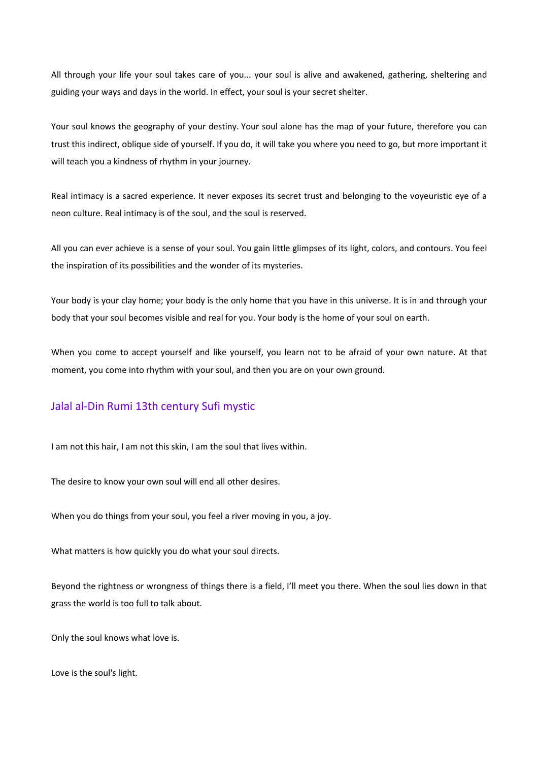All through your life your soul takes care of you... your soul is alive and awakened, gathering, sheltering and guiding your ways and days in the world. In effect, your soul is your secret shelter.

Your soul knows the geography of your destiny. Your soul alone has the map of your future, therefore you can trust this indirect, oblique side of yourself. If you do, it will take you where you need to go, but more important it will teach you a kindness of rhythm in your journey.

Real intimacy is a sacred experience. It never exposes its secret trust and belonging to the voyeuristic eye of a neon culture. Real intimacy is of the soul, and the soul is reserved.

All you can ever achieve is a sense of your soul. You gain little glimpses of its light, colors, and contours. You feel the inspiration of its possibilities and the wonder of its mysteries.

Your body is your clay home; your body is the only home that you have in this universe. It is in and through your body that your soul becomes visible and real for you. Your body is the home of your soul on earth.

When you come to accept yourself and like yourself, you learn not to be afraid of your own nature. At that moment, you come into rhythm with your soul, and then you are on your own ground.

## Jalal al-Din Rumi 13th century Sufi mystic

I am not this hair, I am not this skin, I am the soul that lives within.

The desire to know your own soul will end all other desires.

When you do things from your soul, you feel a river moving in you, a joy.

What matters is how quickly you do what your soul directs.

Beyond the rightness or wrongness of things there is a field, I'll meet you there. When the soul lies down in that grass the world is too full to talk about.

Only the soul knows what love is.

Love is the soul's light.